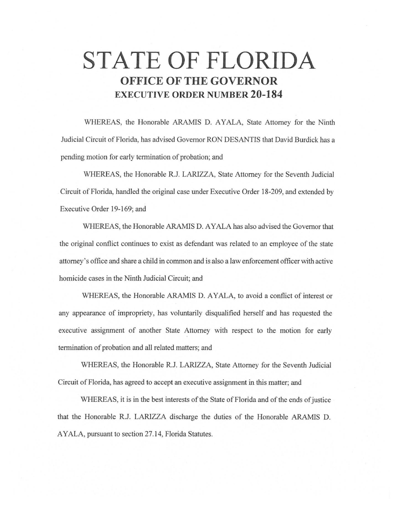# **STATE OF FLORIDA OFFICE OF THE GOVERNOR EXECUTIVE ORDER NUMBER 20-184**

WHEREAS, the Honorable ARAMIS D. AYALA, State Attorney for the Ninth Judicial Circuit of Florida, has advised Governor RON DESANTIS that David Burdick has a pending motion for early tennination of probation; and

WHEREAS, the Honorable R.J. LARIZZA, State Attorney for the Seventh Judicial Circuit of Florida, handled the original case under Executive Order 18-209, and extended by Executive Order 19-169; and

WHEREAS, the Honorable ARAMIS D. AYALA has also advised the Governor that the original conflict continues to exist as defendant was related to an employee of the state attorney's office and share a child in common and is also a law enforcement officer with active homicide cases in the Ninth Judicial Circuit; and

WHEREAS, the Honorable ARAMIS D. AYALA, to avoid a conflict of interest or any appearance of impropriety, has voluntarily disqualified herself and has requested the executive assignment of another State Attorney with respect to the motion for early termination of probation and all related matters; and

WHEREAS, the Honorable R.J. LARIZZA, State Attorney for the Seventh Judicial Circuit of Florida, has agreed to accept an executive assignment in this matter; and

WHEREAS, it is in the best interests of the State of Florida and of the ends of justice that the Honorable R.J. LARIZZA discharge the duties of the Honorable ARAMIS D. AYALA, pursuant to section 27.14, Florida Statutes.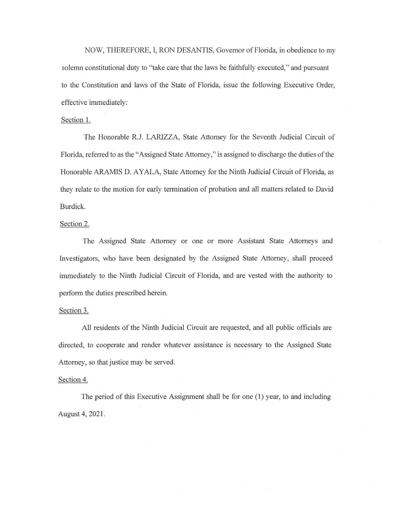NOW, THEREFORE, I, RON DESANTIS, Governor of Florida, in obedience to my solemn constitutional duty to "take care that the laws be faithfully executed," and pursuant to the Constitution and laws of the State of Florida, issue the foJlowing Executive Order, effective immediately:

## Section 1.

The Honorable R.J. LARIZZA, State Attorney for the Seventh Judicial Circuit of Florida, referred to as the "Assigned State Attorney," is assigned to discharge the duties of the Honorable ARAMIS D. AYALA, State Attorney for the Ninth Judicial Circuit of Florida, as they relate to the motion for early termination of probation and aJI matters related to David Burdick.

### Section 2.

The Assigned State Attorney or one or more Assistant State Attorneys and Investigators, who have been designated by the Assigned State Attorney, shall proceed immediately to the Ninth Judicial Circuit of Florida, and are vested with the authority to perform the duties prescribed herein.

### Section 3.

All residents of the Ninth Judicial Circuit are requested, and all public officials are directed, to cooperate and render whatever assistance is necessary to the Assigned State Attorney, so that justice may be served.

#### Section 4.

The period of this Executive Assignment shall be for one (1) year, to and including August 4, 2021.